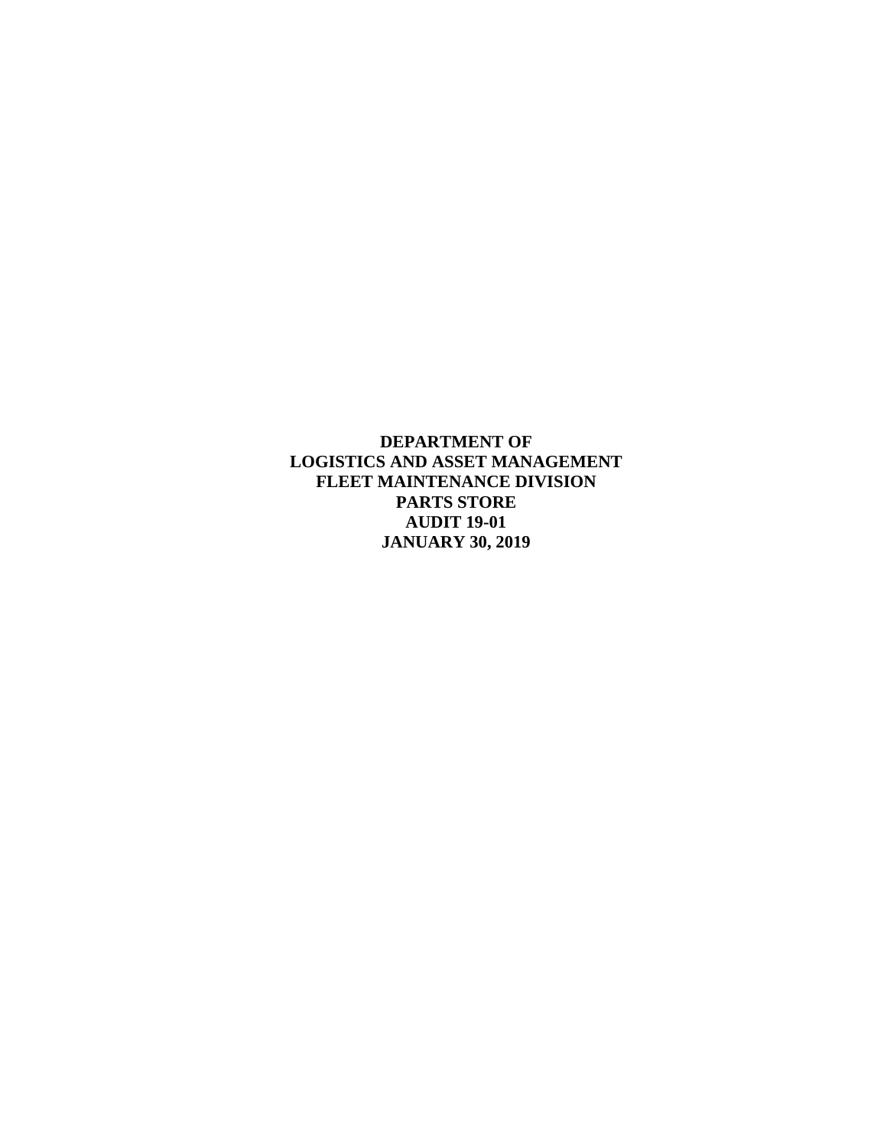**DEPARTMENT OF LOGISTICS AND ASSET MANAGEMENT FLEET MAINTENANCE DIVISION PARTS STORE AUDIT 19-01 JANUARY 30, 2019**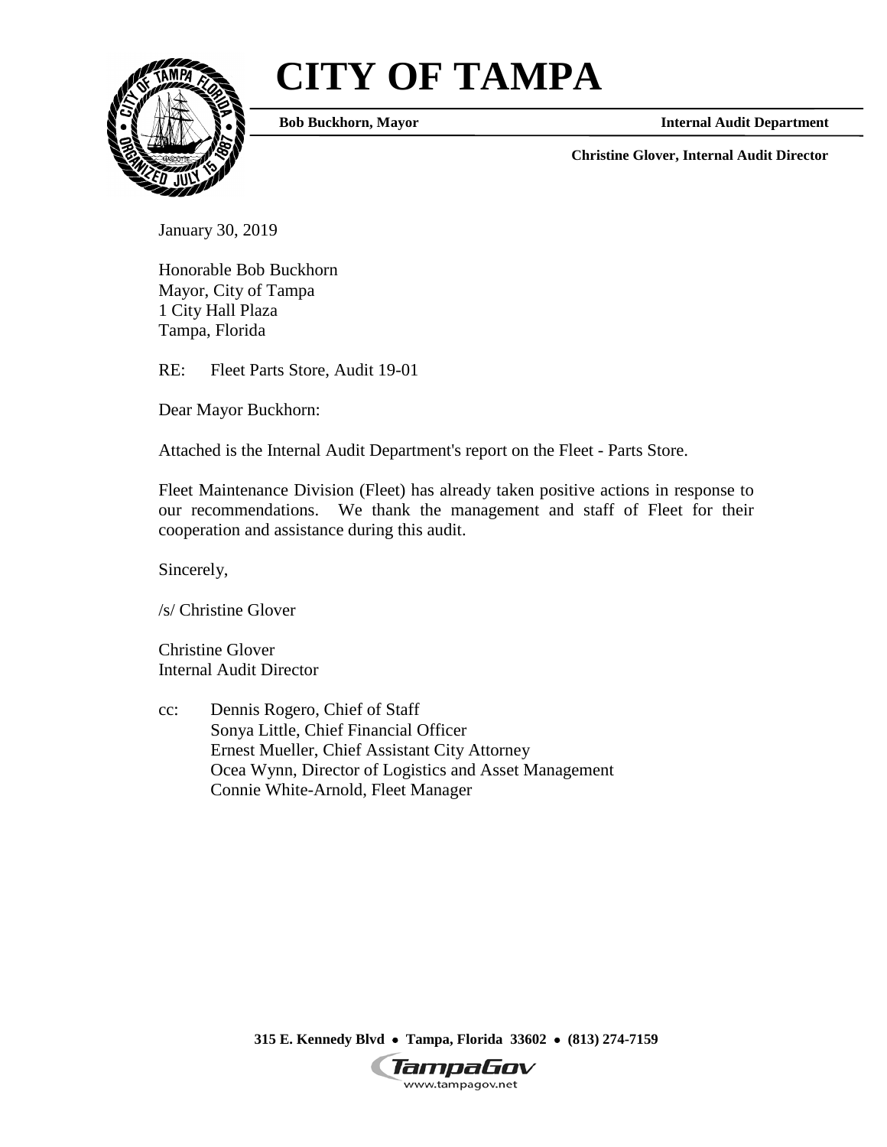# **CITY OF TAMPA**



**Bob Buckhorn, Mayor**

**Internal Audit Department**

**Christine Glover, Internal Audit Director**

January 30, 2019

Honorable Bob Buckhorn Mayor, City of Tampa 1 City Hall Plaza Tampa, Florida

RE: Fleet Parts Store, Audit 19-01

Dear Mayor Buckhorn:

Attached is the Internal Audit Department's report on the Fleet - Parts Store.

Fleet Maintenance Division (Fleet) has already taken positive actions in response to our recommendations. We thank the management and staff of Fleet for their cooperation and assistance during this audit.

Sincerely,

/s/ Christine Glover

Christine Glover Internal Audit Director

cc: Dennis Rogero, Chief of Staff Sonya Little, Chief Financial Officer Ernest Mueller, Chief Assistant City Attorney Ocea Wynn, Director of Logistics and Asset Management Connie White-Arnold, Fleet Manager

**315 E. Kennedy Blvd** • **Tampa, Florida 33602** • **(813) 274-7159**

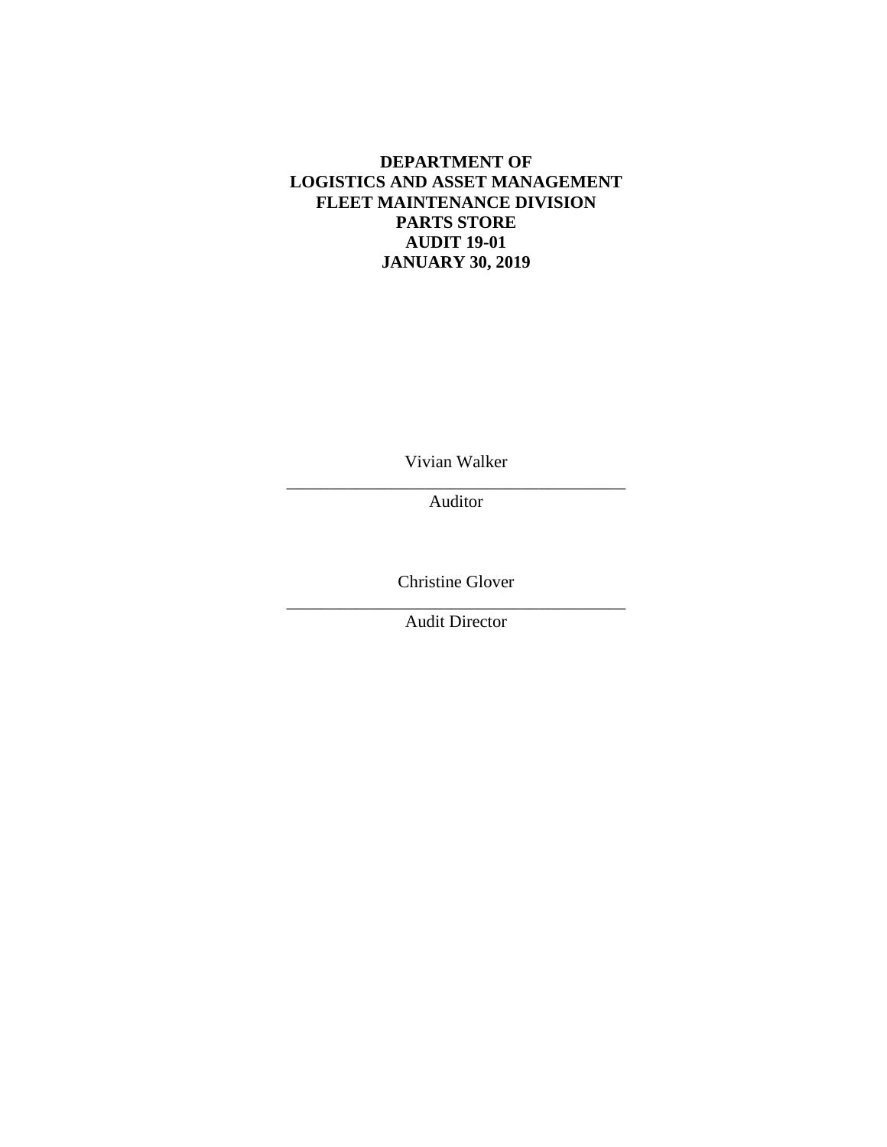# **DEPARTMENT OF LOGISTICS AND ASSET MANAGEMENT FLEET MAINTENANCE DIVISION PARTS STORE AUDIT 19-01 JANUARY 30, 2019**

Vivian Walker

\_\_\_\_\_\_\_\_\_\_\_\_\_\_\_\_\_\_\_\_\_\_\_\_\_\_\_\_\_\_\_\_\_\_\_\_\_\_\_ Auditor

Christine Glover

\_\_\_\_\_\_\_\_\_\_\_\_\_\_\_\_\_\_\_\_\_\_\_\_\_\_\_\_\_\_\_\_\_\_\_\_\_\_\_ Audit Director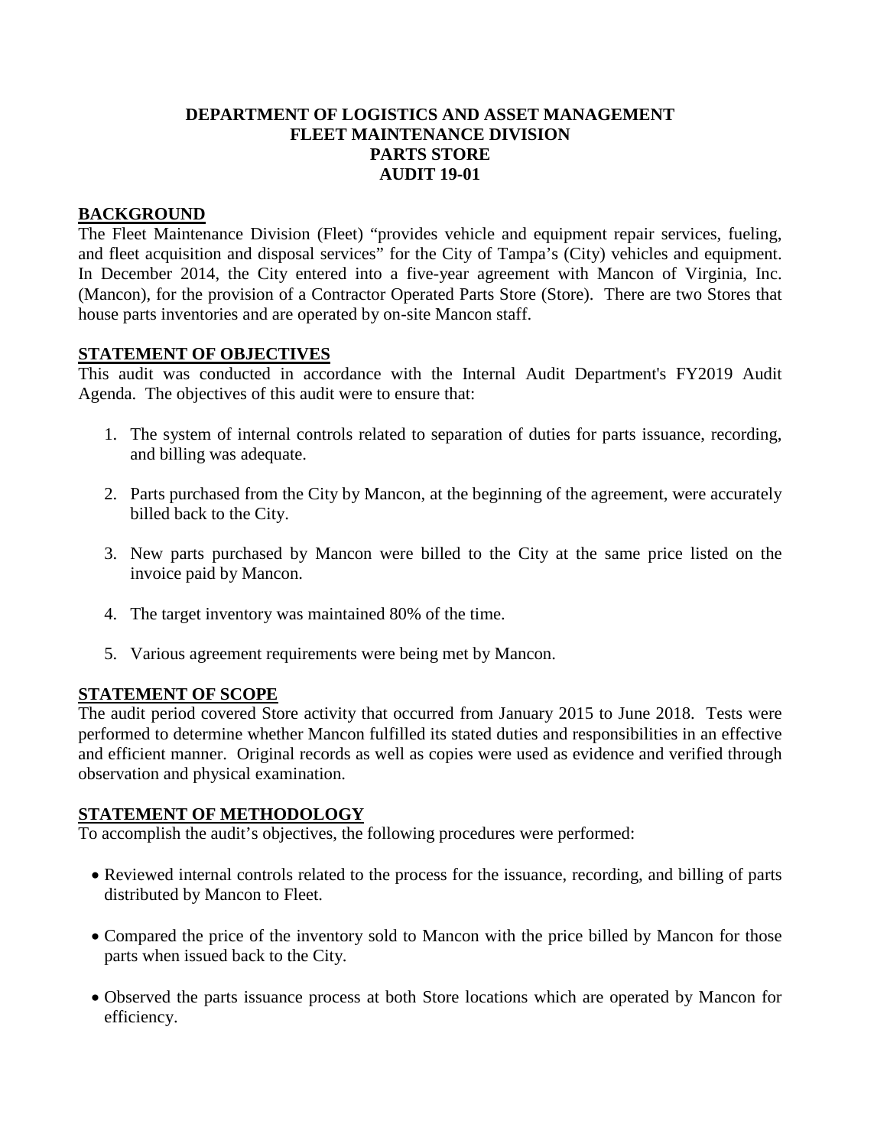## **DEPARTMENT OF LOGISTICS AND ASSET MANAGEMENT FLEET MAINTENANCE DIVISION PARTS STORE AUDIT 19-01**

## **BACKGROUND**

The Fleet Maintenance Division (Fleet) "provides vehicle and equipment repair services, fueling, and fleet acquisition and disposal services" for the City of Tampa's (City) vehicles and equipment. In December 2014, the City entered into a five-year agreement with Mancon of Virginia, Inc. (Mancon), for the provision of a Contractor Operated Parts Store (Store). There are two Stores that house parts inventories and are operated by on-site Mancon staff.

## **STATEMENT OF OBJECTIVES**

This audit was conducted in accordance with the Internal Audit Department's FY2019 Audit Agenda. The objectives of this audit were to ensure that:

- 1. The system of internal controls related to separation of duties for parts issuance, recording, and billing was adequate.
- 2. Parts purchased from the City by Mancon, at the beginning of the agreement, were accurately billed back to the City.
- 3. New parts purchased by Mancon were billed to the City at the same price listed on the invoice paid by Mancon.
- 4. The target inventory was maintained 80% of the time.
- 5. Various agreement requirements were being met by Mancon.

#### **STATEMENT OF SCOPE**

The audit period covered Store activity that occurred from January 2015 to June 2018. Tests were performed to determine whether Mancon fulfilled its stated duties and responsibilities in an effective and efficient manner. Original records as well as copies were used as evidence and verified through observation and physical examination.

#### **STATEMENT OF METHODOLOGY**

To accomplish the audit's objectives, the following procedures were performed:

- Reviewed internal controls related to the process for the issuance, recording, and billing of parts distributed by Mancon to Fleet.
- Compared the price of the inventory sold to Mancon with the price billed by Mancon for those parts when issued back to the City.
- Observed the parts issuance process at both Store locations which are operated by Mancon for efficiency.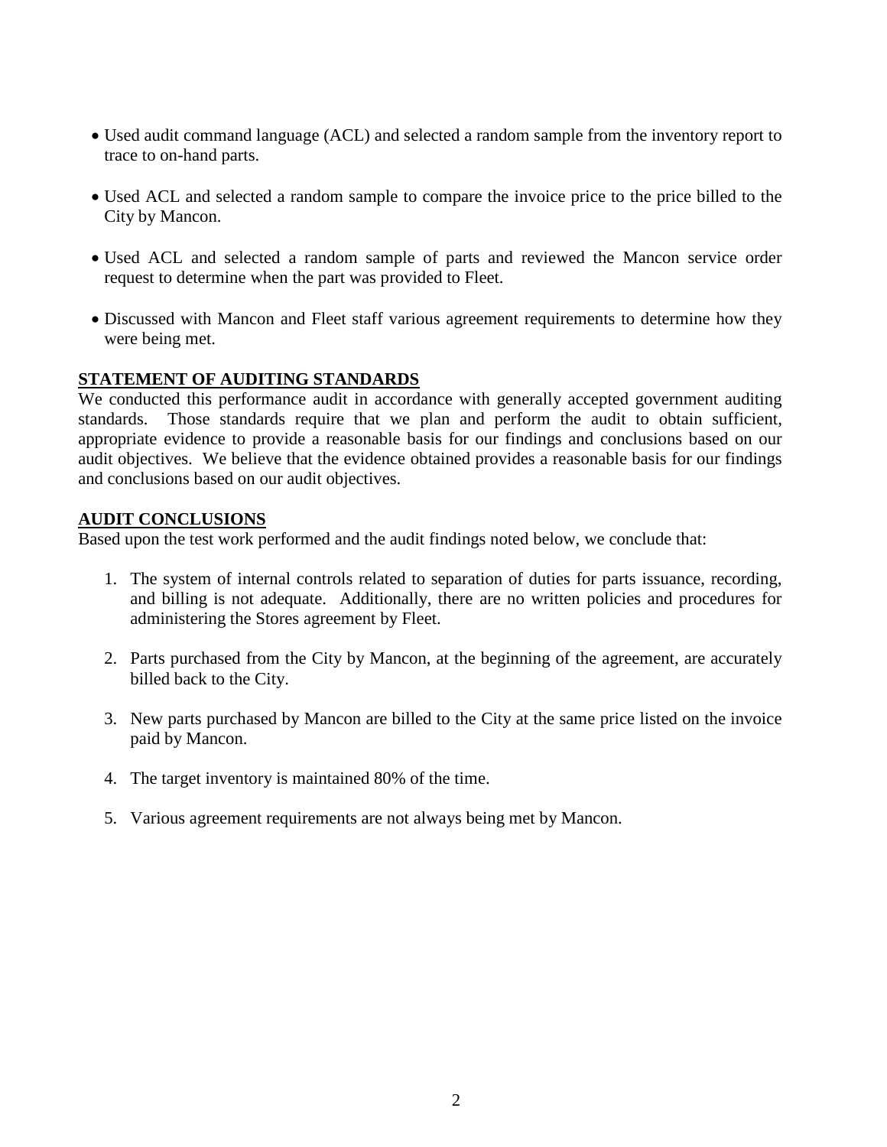- Used audit command language (ACL) and selected a random sample from the inventory report to trace to on-hand parts.
- Used ACL and selected a random sample to compare the invoice price to the price billed to the City by Mancon.
- Used ACL and selected a random sample of parts and reviewed the Mancon service order request to determine when the part was provided to Fleet.
- Discussed with Mancon and Fleet staff various agreement requirements to determine how they were being met.

## **STATEMENT OF AUDITING STANDARDS**

We conducted this performance audit in accordance with generally accepted government auditing standards. Those standards require that we plan and perform the audit to obtain sufficient, appropriate evidence to provide a reasonable basis for our findings and conclusions based on our audit objectives. We believe that the evidence obtained provides a reasonable basis for our findings and conclusions based on our audit objectives.

## **AUDIT CONCLUSIONS**

Based upon the test work performed and the audit findings noted below, we conclude that:

- 1. The system of internal controls related to separation of duties for parts issuance, recording, and billing is not adequate. Additionally, there are no written policies and procedures for administering the Stores agreement by Fleet.
- 2. Parts purchased from the City by Mancon, at the beginning of the agreement, are accurately billed back to the City.
- 3. New parts purchased by Mancon are billed to the City at the same price listed on the invoice paid by Mancon.
- 4. The target inventory is maintained 80% of the time.
- 5. Various agreement requirements are not always being met by Mancon.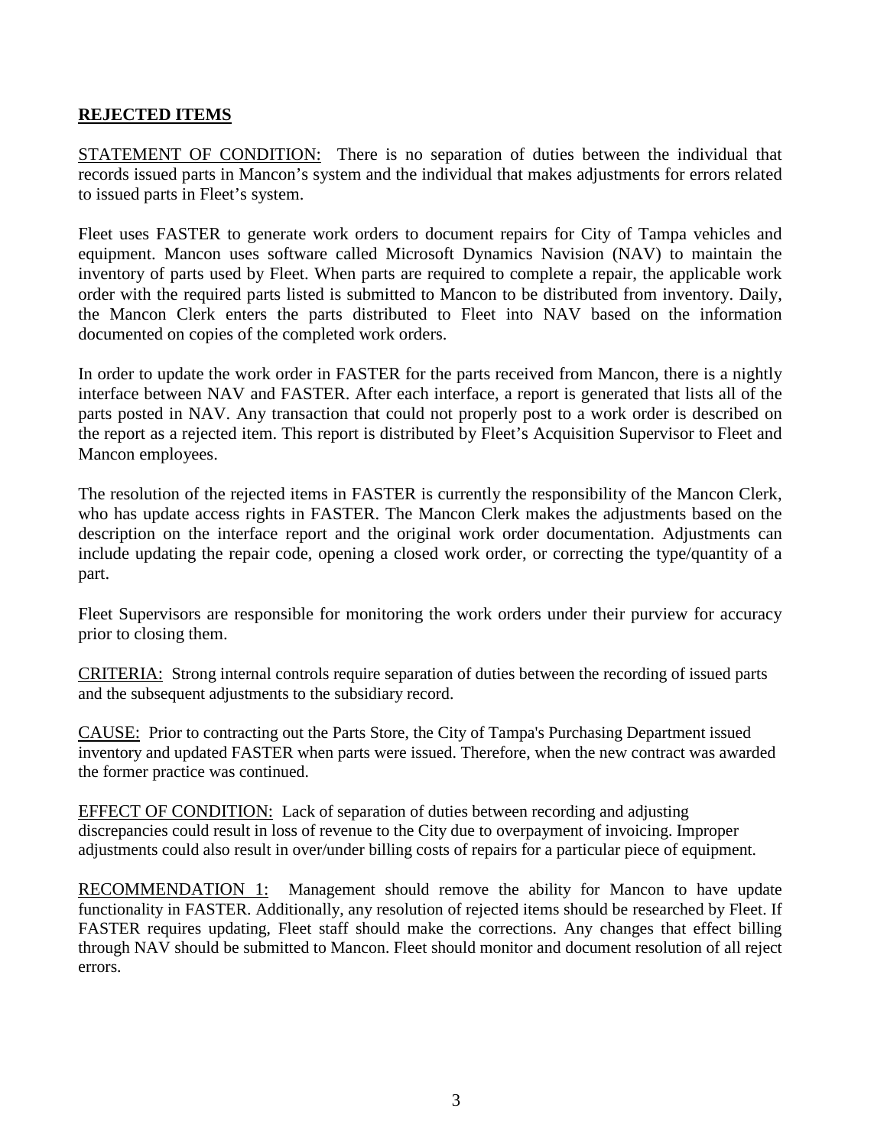# **REJECTED ITEMS**

STATEMENT OF CONDITION: There is no separation of duties between the individual that records issued parts in Mancon's system and the individual that makes adjustments for errors related to issued parts in Fleet's system.

Fleet uses FASTER to generate work orders to document repairs for City of Tampa vehicles and equipment. Mancon uses software called Microsoft Dynamics Navision (NAV) to maintain the inventory of parts used by Fleet. When parts are required to complete a repair, the applicable work order with the required parts listed is submitted to Mancon to be distributed from inventory. Daily, the Mancon Clerk enters the parts distributed to Fleet into NAV based on the information documented on copies of the completed work orders.

In order to update the work order in FASTER for the parts received from Mancon, there is a nightly interface between NAV and FASTER. After each interface, a report is generated that lists all of the parts posted in NAV. Any transaction that could not properly post to a work order is described on the report as a rejected item. This report is distributed by Fleet's Acquisition Supervisor to Fleet and Mancon employees.

The resolution of the rejected items in FASTER is currently the responsibility of the Mancon Clerk, who has update access rights in FASTER. The Mancon Clerk makes the adjustments based on the description on the interface report and the original work order documentation. Adjustments can include updating the repair code, opening a closed work order, or correcting the type/quantity of a part.

Fleet Supervisors are responsible for monitoring the work orders under their purview for accuracy prior to closing them.

CRITERIA: Strong internal controls require separation of duties between the recording of issued parts and the subsequent adjustments to the subsidiary record.

CAUSE: Prior to contracting out the Parts Store, the City of Tampa's Purchasing Department issued inventory and updated FASTER when parts were issued. Therefore, when the new contract was awarded the former practice was continued.

EFFECT OF CONDITION: Lack of separation of duties between recording and adjusting discrepancies could result in loss of revenue to the City due to overpayment of invoicing. Improper adjustments could also result in over/under billing costs of repairs for a particular piece of equipment.

RECOMMENDATION 1: Management should remove the ability for Mancon to have update functionality in FASTER. Additionally, any resolution of rejected items should be researched by Fleet. If FASTER requires updating, Fleet staff should make the corrections. Any changes that effect billing through NAV should be submitted to Mancon. Fleet should monitor and document resolution of all reject errors.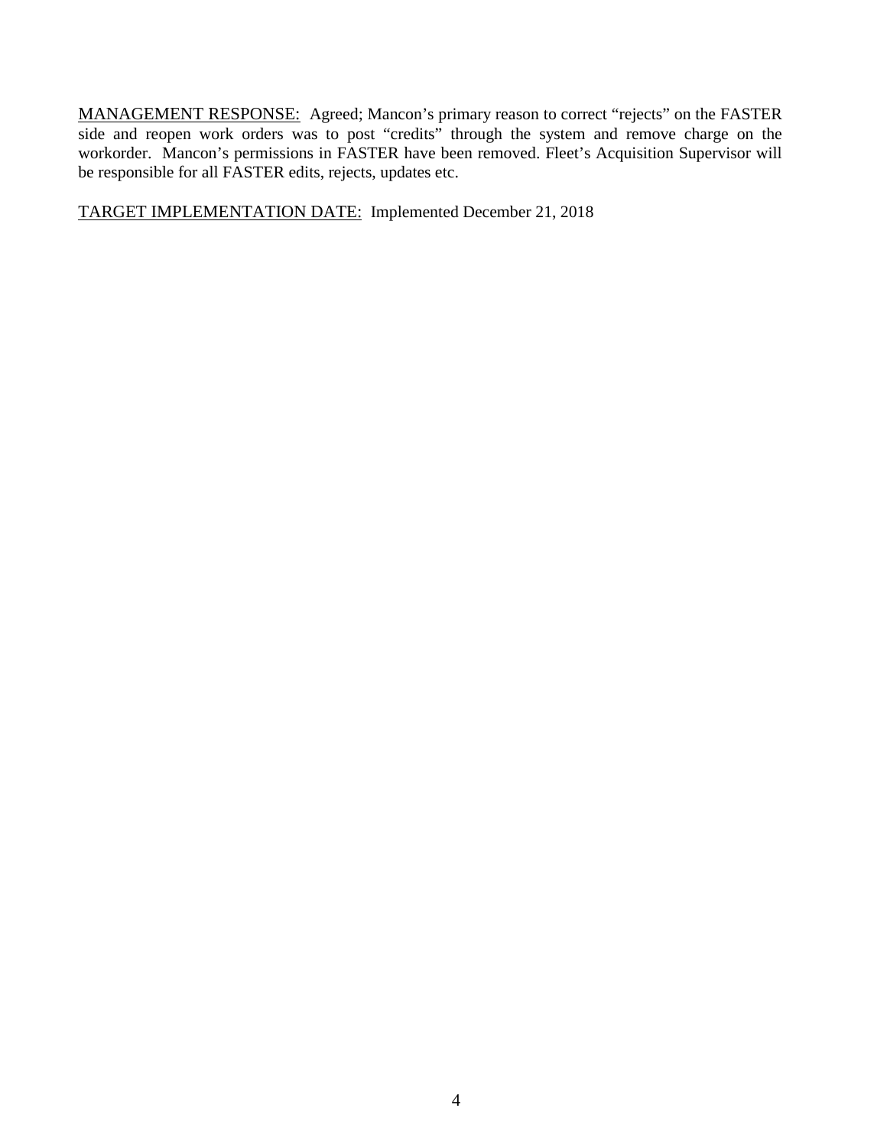MANAGEMENT RESPONSE: Agreed; Mancon's primary reason to correct "rejects" on the FASTER side and reopen work orders was to post "credits" through the system and remove charge on the workorder. Mancon's permissions in FASTER have been removed. Fleet's Acquisition Supervisor will be responsible for all FASTER edits, rejects, updates etc.

TARGET IMPLEMENTATION DATE: Implemented December 21, 2018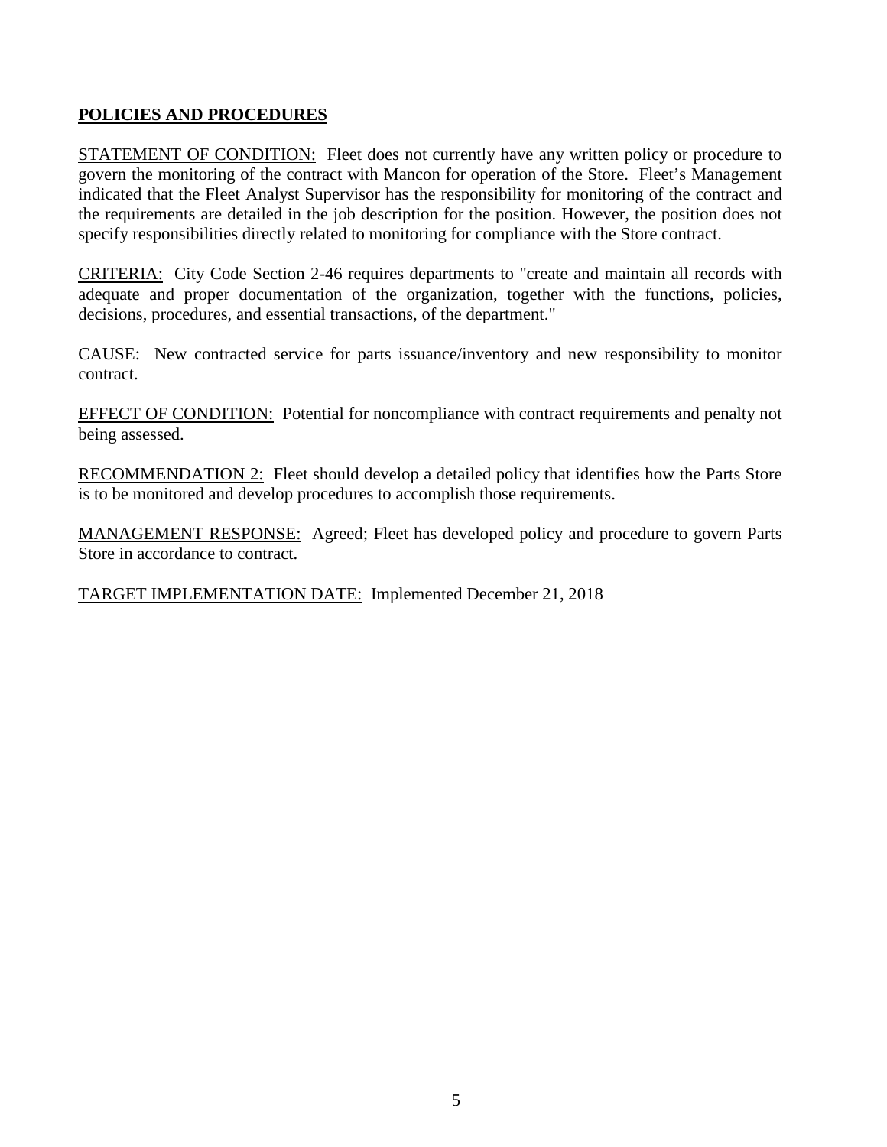# **POLICIES AND PROCEDURES**

STATEMENT OF CONDITION: Fleet does not currently have any written policy or procedure to govern the monitoring of the contract with Mancon for operation of the Store. Fleet's Management indicated that the Fleet Analyst Supervisor has the responsibility for monitoring of the contract and the requirements are detailed in the job description for the position. However, the position does not specify responsibilities directly related to monitoring for compliance with the Store contract.

CRITERIA: City Code Section 2-46 requires departments to "create and maintain all records with adequate and proper documentation of the organization, together with the functions, policies, decisions, procedures, and essential transactions, of the department."

CAUSE: New contracted service for parts issuance/inventory and new responsibility to monitor contract.

EFFECT OF CONDITION: Potential for noncompliance with contract requirements and penalty not being assessed.

RECOMMENDATION 2: Fleet should develop a detailed policy that identifies how the Parts Store is to be monitored and develop procedures to accomplish those requirements.

MANAGEMENT RESPONSE: Agreed; Fleet has developed policy and procedure to govern Parts Store in accordance to contract.

TARGET IMPLEMENTATION DATE: Implemented December 21, 2018